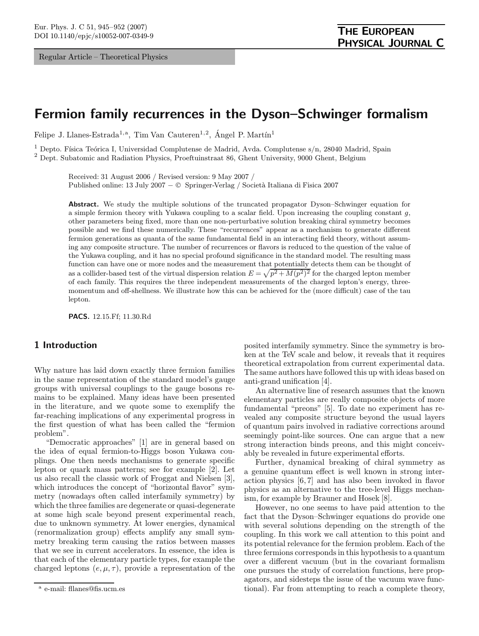Regular Article – Theoretical Physics

# Fermion family recurrences in the Dyson–Schwinger formalism

Felipe J. Llanes-Estrada<sup>1,a</sup>, Tim Van Cauteren<sup>1,2</sup>, Ángel P. Martín<sup>1</sup>

<sup>1</sup> Depto. Física Teórica I, Universidad Complutense de Madrid, Avda. Complutense s/n, 28040 Madrid, Spain <sup>2</sup> Dept. Subatomic and Radiation Physics, Proeftuinstraat 86, Ghent University, 9000 Ghent, Belgium

Received: 31 August 2006 / Revised version: 9 May 2007 / Published online: 13 July 2007 − © Springer-Verlag / Società Italiana di Fisica 2007

Abstract. We study the multiple solutions of the truncated propagator Dyson–Schwinger equation for a simple fermion theory with Yukawa coupling to a scalar field. Upon increasing the coupling constant  $g$ , other parameters being fixed, more than one non-perturbative solution breaking chiral symmetry becomes possible and we find these numerically. These "recurrences" appear as a mechanism to generate different fermion generations as quanta of the same fundamental field in an interacting field theory, without assuming any composite structure. The number of recurrences or flavors is reduced to the question of the value of the Yukawa coupling, and it has no special profound significance in the standard model. The resulting mass function can have one or more nodes and the measurement that potentially detects them can be thought of as a collider-based test of the virtual dispersion relation  $E = \sqrt{p^2 + M(p^2)^2}$  for the charged lepton member of each family. This requires the three independent measurements of the charged lepton's energy, threemomentum and off-shellness. We illustrate how this can be achieved for the (more difficult) case of the tau lepton.

PACS. 12.15.Ff; 11.30.Rd

# 1 Introduction

Why nature has laid down exactly three fermion families in the same representation of the standard model's gauge groups with universal couplings to the gauge bosons remains to be explained. Many ideas have been presented in the literature, and we quote some to exemplify the far-reaching implications of any experimental progress in the first question of what has been called the "fermion problem".

"Democratic approaches" [1] are in general based on the idea of equal fermion-to-Higgs boson Yukawa couplings. One then needs mechanisms to generate specific lepton or quark mass patterns; see for example [2]. Let us also recall the classic work of Froggat and Nielsen [3], which introduces the concept of "horizontal flavor" symmetry (nowadays often called interfamily symmetry) by which the three families are degenerate or quasi-degenerate at some high scale beyond present experimental reach, due to unknown symmetry. At lower energies, dynamical (renormalization group) effects amplify any small symmetry breaking term causing the ratios between masses that we see in current accelerators. In essence, the idea is that each of the elementary particle types, for example the charged leptons  $(e, \mu, \tau)$ , provide a representation of the

posited interfamily symmetry. Since the symmetry is broken at the TeV scale and below, it reveals that it requires theoretical extrapolation from current experimental data. The same authors have followed this up with ideas based on anti-grand unification [4].

An alternative line of research assumes that the known elementary particles are really composite objects of more fundamental "preons" [5]. To date no experiment has revealed any composite structure beyond the usual layers of quantum pairs involved in radiative corrections around seemingly point-like sources. One can argue that a new strong interaction binds preons, and this might conceivably be revealed in future experimental efforts.

Further, dynamical breaking of chiral symmetry as a genuine quantum effect is well known in strong interaction physics [6, 7] and has also been invoked in flavor physics as an alternative to the tree-level Higgs mechanism, for example by Brauner and Hosek [8].

However, no one seems to have paid attention to the fact that the Dyson–Schwinger equations do provide one with several solutions depending on the strength of the coupling. In this work we call attention to this point and its potential relevance for the fermion problem. Each of the three fermions corresponds in this hypothesis to a quantum over a different vacuum (but in the covariant formalism one pursues the study of correlation functions, here propagators, and sidesteps the issue of the vacuum wave functional). Far from attempting to reach a complete theory,

<sup>a</sup> e-mail: fllanes@fis.ucm.es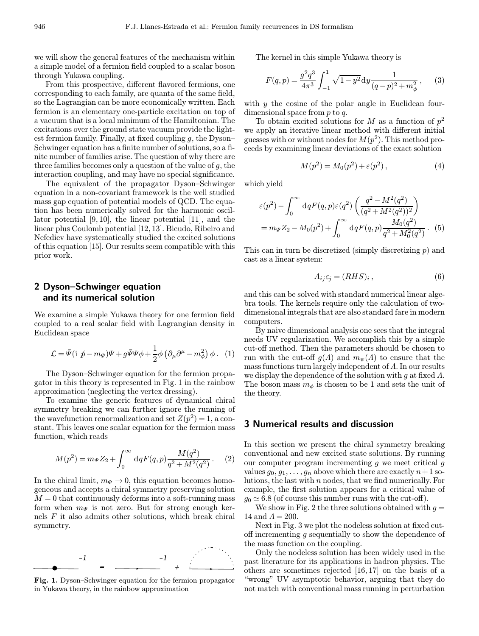we will show the general features of the mechanism within a simple model of a fermion field coupled to a scalar boson through Yukawa coupling.

From this prospective, different flavored fermions, one corresponding to each family, are quanta of the same field, so the Lagrangian can be more economically written. Each fermion is an elementary one-particle excitation on top of a vacuum that is a local minimum of the Hamiltonian. The excitations over the ground state vacuum provide the lightest fermion family. Finally, at fixed coupling  $q$ , the Dyson– Schwinger equation has a finite number of solutions, so a finite number of families arise. The question of why there are three families becomes only a question of the value of  $g$ , the interaction coupling, and may have no special significance.

The equivalent of the propagator Dyson–Schwinger equation in a non-covariant framework is the well studied mass gap equation of potential models of QCD. The equation has been numerically solved for the harmonic oscillator potential [9, 10], the linear potential [11], and the linear plus Coulomb potential [12, 13]. Bicudo, Ribeiro and Nefediev have systematically studied the excited solutions of this equation [15]. Our results seem compatible with this prior work.

# 2 Dyson–Schwinger equation and its numerical solution

We examine a simple Yukawa theory for one fermion field coupled to a real scalar field with Lagrangian density in Euclidean space

$$
\mathcal{L} = \bar{\Psi}(\mathbf{i} \not p - m_{\Psi})\Psi + g\bar{\Psi}\Psi\phi + \frac{1}{2}\phi\left(\partial_{\mu}\partial^{\mu} - m_{\phi}^{2}\right)\phi. \tag{1}
$$

The Dyson–Schwinger equation for the fermion propagator in this theory is represented in Fig. 1 in the rainbow approximation (neglecting the vertex dressing).

To examine the generic features of dynamical chiral symmetry breaking we can further ignore the running of the wavefunction renormalization and set  $Z(p^2) = 1$ , a constant. This leaves one scalar equation for the fermion mass function, which reads

$$
M(p^2) = m_{\Psi} Z_2 + \int_0^{\infty} \mathrm{d}q F(q, p) \frac{M(q^2)}{q^2 + M^2(q^2)} \,. \tag{2}
$$

In the chiral limit,  $m_{\Psi} \rightarrow 0$ , this equation becomes homogeneous and accepts a chiral symmetry preserving solution  $M = 0$  that continuously deforms into a soft-running mass form when  $m_{\Psi}$  is not zero. But for strong enough kernels F it also admits other solutions, which break chiral symmetry.



Fig. 1. Dyson–Schwinger equation for the fermion propagator in Yukawa theory, in the rainbow approximation

The kernel in this simple Yukawa theory is

$$
F(q,p) = \frac{g^2 q^3}{4\pi^3} \int_{-1}^{1} \sqrt{1 - y^2} \, dy \frac{1}{(q - p)^2 + m_\phi^2},\qquad(3)
$$

with  $\gamma$  the cosine of the polar angle in Euclidean fourdimensional space from  $p$  to  $q$ .

To obtain excited solutions for  $M$  as a function of  $p^2$ we apply an iterative linear method with different initial guesses with or without nodes for  $M(p^2)$ . This method proceeds by examining linear deviations of the exact solution

$$
M(p^2) = M_0(p^2) + \varepsilon(p^2) , \qquad (4)
$$

which yield

$$
\varepsilon(p^2) - \int_0^\infty \mathrm{d}q F(q, p) \varepsilon(q^2) \left( \frac{q^2 - M^2(q^2)}{(q^2 + M^2(q^2))^2} \right)
$$
  
=  $m_\Psi Z_2 - M_0(p^2) + \int_0^\infty \mathrm{d}q F(q, p) \frac{M_0(q^2)}{q^2 + M_0^2(q^2)}$ . (5)

This can in turn be discretized (simply discretizing  $p$ ) and cast as a linear system:

$$
A_{ij}\varepsilon_j = (RHS)_i ,\qquad \qquad (6)
$$

and this can be solved with standard numerical linear algebra tools. The kernels require only the calculation of twodimensional integrals that are also standard fare in modern computers.

By naive dimensional analysis one sees that the integral needs UV regularization. We accomplish this by a simple cut-off method. Then the parameters should be chosen to run with the cut-off  $g(\Lambda)$  and  $m_{\psi}(\Lambda)$  to ensure that the mass functions turn largely independent of Λ. In our results we display the dependence of the solution with g at fixed  $\Lambda$ . The boson mass  $m_{\phi}$  is chosen to be 1 and sets the unit of the theory.

#### 3 Numerical results and discussion

In this section we present the chiral symmetry breaking conventional and new excited state solutions. By running our computer program incrementing  $g$  we meet critical  $g$ values  $g_0, g_1, \ldots, g_n$  above which there are exactly  $n+1$  solutions, the last with  $n$  nodes, that we find numerically. For example, the first solution appears for a critical value of  $q_0 \approx 6.8$  (of course this number runs with the cut-off).

We show in Fig. 2 the three solutions obtained with  $g =$ 14 and  $\Lambda = 200$ .

Next in Fig. 3 we plot the nodeless solution at fixed cutoff incrementing g sequentially to show the dependence of the mass function on the coupling.

Only the nodeless solution has been widely used in the past literature for its applications in hadron physics. The others are sometimes rejected [16, 17] on the basis of a "wrong" UV asymptotic behavior, arguing that they do not match with conventional mass running in perturbation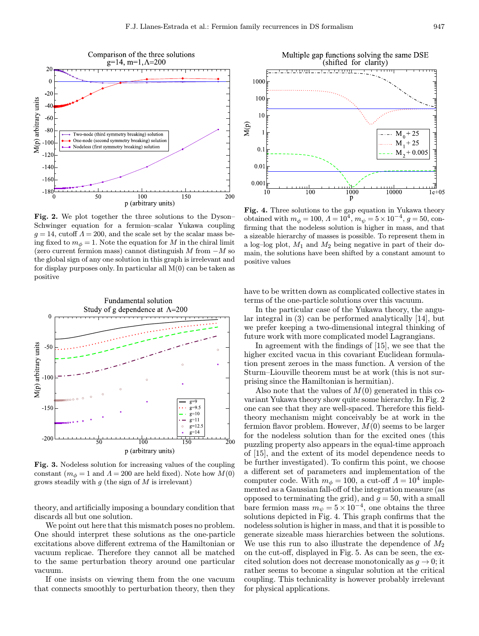

Fig. 2. We plot together the three solutions to the Dyson– Schwinger equation for a fermion–scalar Yukawa coupling  $g = 14$ , cutoff  $\Lambda = 200$ , and the scale set by the scalar mass being fixed to  $m_{\phi} = 1$ . Note the equation for M in the chiral limit (zero current fermion mass) cannot distinguish M from  $-M$  so the global sign of any one solution in this graph is irrelevant and for display purposes only. In particular all  $M(0)$  can be taken as positive



Fig. 3. Nodeless solution for increasing values of the coupling constant ( $m_{\phi} = 1$  and  $\Lambda = 200$  are held fixed). Note how  $M(0)$ grows steadily with  $g$  (the sign of  $M$  is irrelevant)

theory, and artificially imposing a boundary condition that discards all but one solution.

We point out here that this mismatch poses no problem. One should interpret these solutions as the one-particle excitations above different extrema of the Hamiltonian or vacuum replicae. Therefore they cannot all be matched to the same perturbation theory around one particular vacuum.

If one insists on viewing them from the one vacuum that connects smoothly to perturbation theory, then they



Fig. 4. Three solutions to the gap equation in Yukawa theory obtained with  $m_{\phi} = 100$ ,  $\Lambda = 10^4$ ,  $m_{\psi} = 5 \times 10^{-4}$ ,  $g = 50$ , confirming that the nodeless solution is higher in mass, and that a sizeable hierarchy of masses is possible. To represent them in a log–log plot,  $M_1$  and  $M_2$  being negative in part of their domain, the solutions have been shifted by a constant amount to positive values

have to be written down as complicated collective states in terms of the one-particle solutions over this vacuum.

In the particular case of the Yukawa theory, the angular integral in (3) can be performed analytically [14], but we prefer keeping a two-dimensional integral thinking of future work with more complicated model Lagrangians.

In agreement with the findings of [15], we see that the higher excited vacua in this covariant Euclidean formulation present zeroes in the mass function. A version of the Sturm–Liouville theorem must be at work (this is not surprising since the Hamiltonian is hermitian).

Also note that the values of  $M(0)$  generated in this covariant Yukawa theory show quite some hierarchy. In Fig. 2 one can see that they are well-spaced. Therefore this fieldtheory mechanism might conceivably be at work in the fermion flavor problem. However,  $M(0)$  seems to be larger for the nodeless solution than for the excited ones (this puzzling property also appears in the equal-time approach of [15], and the extent of its model dependence needs to be further investigated). To confirm this point, we choose a different set of parameters and implementation of the computer code. With  $m_{\phi} = 100$ , a cut-off  $\Lambda = 10^4$  implemented as a Gaussian fall-off of the integration measure (as opposed to terminating the grid), and  $g = 50$ , with a small bare fermion mass  $m_{\psi} = 5 \times 10^{-4}$ , one obtains the three solutions depicted in Fig. 4. This graph confirms that the nodeless solution is higher in mass, and that it is possible to generate sizeable mass hierarchies between the solutions. We use this run to also illustrate the dependence of  $M_2$ on the cut-off, displayed in Fig. 5. As can be seen, the excited solution does not decrease monotonically as  $q \to 0$ ; it rather seems to become a singular solution at the critical coupling. This technicality is however probably irrelevant for physical applications.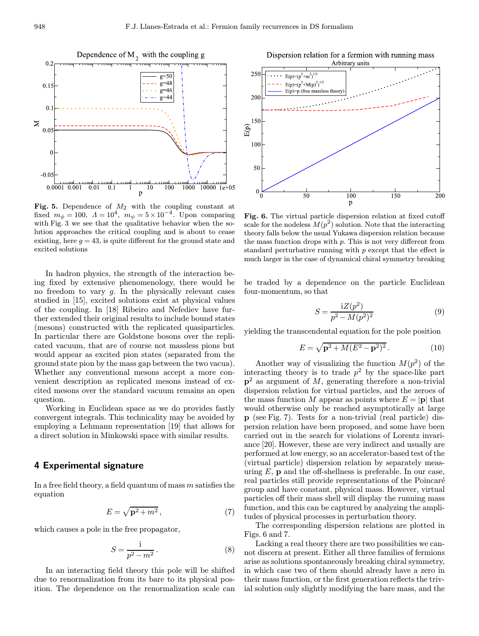

Fig. 5. Dependence of  $M_2$  with the coupling constant at fixed  $m_{\phi} = 100, \ A = 10^{4}, \ m_{\psi} = 5 \times 10^{-4}$ . Upon comparing with Fig. 3 we see that the qualitative behavior when the solution approaches the critical coupling and is about to cease existing, here  $g = 43$ , is quite different for the ground state and excited solutions

In hadron physics, the strength of the interaction being fixed by extensive phenomenology, there would be no freedom to vary  $q$ . In the physically relevant cases studied in [15], excited solutions exist at physical values of the coupling. In [18] Ribeiro and Nefediev have further extended their original results to include bound states (mesons) constructed with the replicated quasiparticles. In particular there are Goldstone bosons over the replicated vacuum, that are of course not massless pions but would appear as excited pion states (separated from the ground state pion by the mass gap between the two vacua). Whether any conventional mesons accept a more convenient description as replicated mesons instead of excited mesons over the standard vacuum remains an open question.

Working in Euclidean space as we do provides fastly convergent integrals. This technicality may be avoided by employing a Lehmann representation [19] that allows for a direct solution in Minkowski space with similar results.

## 4 Experimental signature

In a free field theory, a field quantum of mass  $m$  satisfies the equation

$$
E = \sqrt{\mathbf{p}^2 + m^2},\tag{7}
$$

which causes a pole in the free propagator,

$$
S = \frac{\mathrm{i}}{p^2 - m^2} \,. \tag{8}
$$

In an interacting field theory this pole will be shifted due to renormalization from its bare to its physical position. The dependence on the renormalization scale can

Dispersion relation for a fermion with running mass Arbitrary units



Fig. 6. The virtual particle dispersion relation at fixed cutoff scale for the nodeless  $M(p^2)$  solution. Note that the interacting theory falls below the usual Yukawa dispersion relation because the mass function drops with  $p$ . This is not very different from standard perturbative running with  $p$  except that the effect is much larger in the case of dynamical chiral symmetry breaking

be traded by a dependence on the particle Euclidean four-momentum, so that

$$
S = \frac{iZ(p^2)}{p^2 - M(p^2)^2}
$$
 (9)

yielding the transcendental equation for the pole position

$$
E = \sqrt{\mathbf{p}^2 + M(E^2 - \mathbf{p}^2)^2}.
$$
 (10)

Another way of visualizing the function  $M(p^2)$  of the interacting theory is to trade  $p^2$  by the space-like part  $p<sup>2</sup>$  as argument of M, generating therefore a non-trivial dispersion relation for virtual particles, and the zeroes of the mass function M appear as points where  $E = |\mathbf{p}|$  that would otherwise only be reached asymptotically at large p (see Fig. 7). Tests for a non-trivial (real particle) dispersion relation have been proposed, and some have been carried out in the search for violations of Lorentz invariance [20]. However, these are very indirect and usually are performed at low energy, so an accelerator-based test of the (virtual particle) dispersion relation by separately measuring  $E$ ,  $\bf{p}$  and the off-shellness is preferable. In our case, real particles still provide representations of the Poincaré group and have constant, physical mass. However, virtual particles off their mass shell will display the running mass function, and this can be captured by analyzing the amplitudes of physical processes in perturbation theory.

The corresponding dispersion relations are plotted in Figs. 6 and 7.

Lacking a real theory there are two possibilities we cannot discern at present. Either all three families of fermions arise as solutions spontaneously breaking chiral symmetry, in which case two of them should already have a zero in their mass function, or the first generation reflects the trivial solution only slightly modifying the bare mass, and the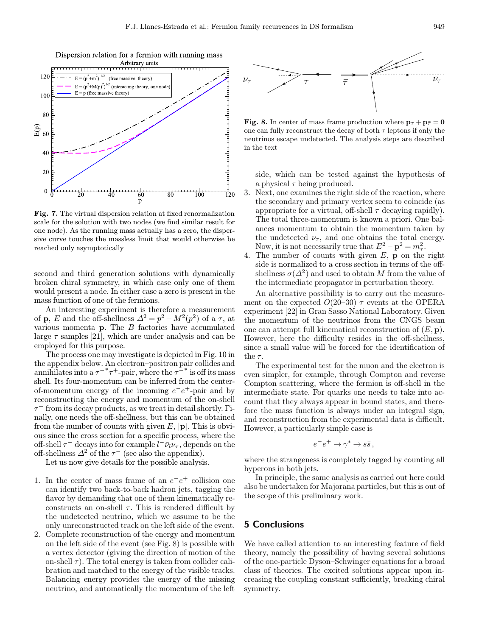Dispersion relation for a fermion with running mass



Fig. 7. The virtual dispersion relation at fixed renormalization scale for the solution with two nodes (we find similar result for one node). As the running mass actually has a zero, the dispersive curve touches the massless limit that would otherwise be reached only asymptotically

second and third generation solutions with dynamically broken chiral symmetry, in which case only one of them would present a node. In either case a zero is present in the mass function of one of the fermions.

An interesting experiment is therefore a measurement of **p**, E and the off-shellness  $\Delta^2 = p^2 - M^2(p^2)$  of a  $\tau$ , at various momenta  $\bf{p}$ . The  $B$  factories have accumulated large  $\tau$  samples [21], which are under analysis and can be employed for this purpose.

The process one may investigate is depicted in Fig. 10 in the appendix below. An electron–positron pair collides and annihilates into a  $\tau^{-*}\tau^{+}$ -pair, where the  $\tau^{-*}$  is off its mass shell. Its four-momentum can be inferred from the centerof-momentum energy of the incoming  $e^-e^+$ -pair and by reconstructing the energy and momentum of the on-shell  $\tau^+$  from its decay products, as we treat in detail shortly. Finally, one needs the off-shellness, but this can be obtained from the number of counts with given  $E$ ,  $|{\bf p}|$ . This is obvious since the cross section for a specific process, where the off-shell  $\tau^-$  decays into for example  $l^- \bar{\nu}_l \nu_\tau$ , depends on the off-shellness  $\Delta^2$  of the  $\tau^-$  (see also the appendix).

Let us now give details for the possible analysis.

- 1. In the center of mass frame of an  $e^-e^+$  collision one can identify two back-to-back hadron jets, tagging the flavor by demanding that one of them kinematically reconstructs an on-shell  $\tau$ . This is rendered difficult by the undetected neutrino, which we assume to be the only unreconstructed track on the left side of the event.
- 2. Complete reconstruction of the energy and momentum on the left side of the event (see Fig. 8) is possible with a vertex detector (giving the direction of motion of the on-shell  $\tau$ ). The total energy is taken from collider calibration and matched to the energy of the visible tracks. Balancing energy provides the energy of the missing neutrino, and automatically the momentum of the left



Fig. 8. In center of mass frame production where  $\mathbf{p}_{\tau} + \mathbf{p}_{\bar{\tau}} = \mathbf{0}$ one can fully reconstruct the decay of both  $\tau$  leptons if only the neutrinos escape undetected. The analysis steps are described in the text

side, which can be tested against the hypothesis of a physical  $\tau$  being produced.

- 3. Next, one examines the right side of the reaction, where the secondary and primary vertex seem to coincide (as appropriate for a virtual, off-shell  $\tau$  decaying rapidly). The total three-momentum is known a priori. One balances momentum to obtain the momentum taken by the undetected  $\nu_{\tau}$ , and one obtains the total energy. Now, it is not necessarily true that  $E^2 - \mathbf{p}^2 = m_\tau^2$ .
- 4. The number of counts with given  $E$ ,  $\bf{p}$  on the right side is normalized to a cross section in terms of the offshellness  $\sigma(\Delta^2)$  and used to obtain M from the value of the intermediate propagator in perturbation theory.

An alternative possibility is to carry out the measurement on the expected  $O(20-30)$   $\tau$  events at the OPERA experiment [22] in Gran Sasso National Laboratory. Given the momentum of the neutrinos from the CNGS beam one can attempt full kinematical reconstruction of  $(E, \mathbf{p})$ . However, here the difficulty resides in the off-shellness, since a small value will be forced for the identification of the  $\tau$ .

The experimental test for the muon and the electron is even simpler, for example, through Compton and reverse Compton scattering, where the fermion is off-shell in the intermediate state. For quarks one needs to take into account that they always appear in bound states, and therefore the mass function is always under an integral sign, and reconstruction from the experimental data is difficult. However, a particularly simple case is

$$
e^-e^+\to \gamma^*\to s\bar s\,,
$$

where the strangeness is completely tagged by counting all hyperons in both jets.

In principle, the same analysis as carried out here could also be undertaken for Majorana particles, but this is out of the scope of this preliminary work.

## 5 Conclusions

We have called attention to an interesting feature of field theory, namely the possibility of having several solutions of the one-particle Dyson–Schwinger equations for a broad class of theories. The excited solutions appear upon increasing the coupling constant sufficiently, breaking chiral symmetry.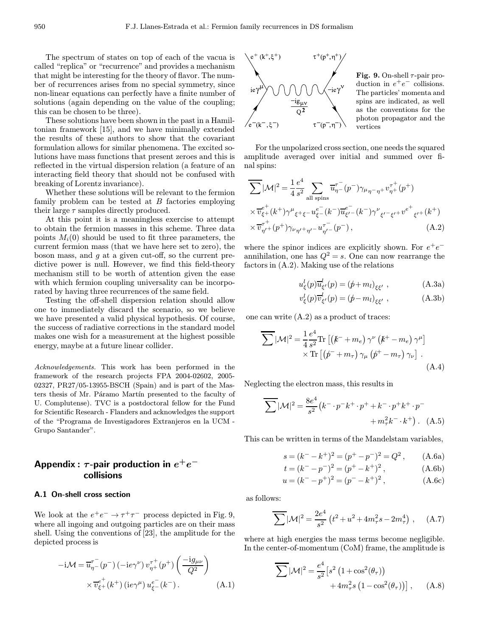The spectrum of states on top of each of the vacua is called "replica" or "recurrence" and provides a mechanism that might be interesting for the theory of flavor. The number of recurrences arises from no special symmetry, since non-linear equations can perfectly have a finite number of solutions (again depending on the value of the coupling; this can be chosen to be three).

These solutions have been shown in the past in a Hamiltonian framework [15], and we have minimally extended the results of these authors to show that the covariant formulation allows for similar phenomena. The excited solutions have mass functions that present zeroes and this is reflected in the virtual dispersion relation (a feature of an interacting field theory that should not be confused with breaking of Lorentz invariance).

Whether these solutions will be relevant to the fermion family problem can be tested at  $B$  factories employing their large  $\tau$  samples directly produced.

At this point it is a meaningless exercise to attempt to obtain the fermion masses in this scheme. Three data points  $M_i(0)$  should be used to fit three parameters, the current fermion mass (that we have here set to zero), the boson mass, and g at a given cut-off, so the current predictive power is null. However, we find this field-theory mechanism still to be worth of attention given the ease with which fermion coupling universality can be incorporated by having three recurrences of the same field.

Testing the off-shell dispersion relation should allow one to immediately discard the scenario, so we believe we have presented a valid physical hypothesis. Of course, the success of radiative corrections in the standard model makes one wish for a measurement at the highest possible energy, maybe at a future linear collider.

Acknowledgements. This work has been performed in the framework of the research projects FPA 2004-02602, 2005- 02327, PR27/05-13955-BSCH (Spain) and is part of the Masters thesis of Mr. Páramo Martín presented to the faculty of U. Complutense). TVC is a postdoctoral fellow for the Fund for Scientific Research - Flanders and acknowledges the support of the "Programa de Investigadores Extranjeros en la UCM - Grupo Santander".

# Appendix :  $\tau$ -pair production in  $e^+e^$ collisions

#### A.1 On-shell cross section

We look at the  $e^+e^- \rightarrow \tau^+\tau^-$  process depicted in Fig. 9, where all ingoing and outgoing particles are on their mass shell. Using the conventions of [23], the amplitude for the depicted process is

$$
-i\mathcal{M} = \overline{u}_{\eta}^{\tau^-}(p^-) \left(-ie\gamma^\nu\right) v_{\eta^+}^{\tau^+}(p^+) \left(\frac{-ig_{\mu\nu}}{Q^2}\right)
$$

$$
\times \overline{v}_{\xi^+}^{e^+}(k^+) \left(ie\gamma^\mu\right) u_{\xi^-}^{e^-}(k^-). \tag{A.1}
$$



Fig. 9. On-shell  $\tau$ -pair production in  $e^+e^-$  collisions. The particles' momenta and spins are indicated, as well as the conventions for the photon propagator and the vertices

For the unpolarized cross section, one needs the squared amplitude averaged over initial and summed over final spins:

$$
\overline{\sum} |\mathcal{M}|^2 = \frac{1}{4} \frac{e^4}{s^2} \sum_{\text{all spins}} \overline{u}_{\eta^-}^{\tau^-}(p^-) \gamma_{\mu_{\eta^- \eta^+}} v_{\eta^+}^{\tau^+}(p^+) \times \overline{v}_{\xi^+}^{e^+}(k^+) \gamma^{\mu}{}_{\xi^+ \xi^-} u_{\xi^-}^{e^-}(k^-) \overline{u}_{\xi^-}^{e^-}(k^-) \gamma^{\nu}{}_{\xi^{\prime -} \xi^{\prime +}} v^{e^+}{}_{\xi^{\prime +}}(k^+) \times \overline{v}_{\eta^{\prime +}}^{\tau^+}(p^+) \gamma_{\nu_{\eta^{\prime +}} \eta^{\prime -}} u_{\eta^{\prime -}}^{\tau^-}(p^-),
$$
\n(A.2)

where the spinor indices are explicitly shown. For  $e^+e^$ annihilation, one has  $Q^2 = s$ . One can now rearrange the factors in (A.2). Making use of the relations

$$
u_{\xi}^{l}(p)\overline{u}_{\xi'}^{l}(p) = (p+m_{l})_{\xi\xi'}, \qquad (A.3a)
$$

$$
v_{\xi}^{l}(p)\overline{v}_{\xi'}^{l}(p) = (p - m_{l})_{\xi\xi'}, \qquad (A.3b)
$$

one can write (A.2) as a product of traces:

$$
\sum |\mathcal{M}|^2 = \frac{1}{4} \frac{e^4}{s^2} \text{Tr} \left[ \left( k^- + m_e \right) \gamma^\nu \left( k^+ - m_e \right) \gamma^\mu \right] \times \text{Tr} \left[ \left( p^- + m_\tau \right) \gamma_\mu \left( p^+ - m_\tau \right) \gamma_\nu \right]. \tag{A.4}
$$

Neglecting the electron mass, this results in

$$
\sum |\mathcal{M}|^2 = \frac{8e^4}{s^2} (k^- \cdot p^- k^+ \cdot p^+ + k^- \cdot p^+ k^+ \cdot p^- + m_\tau^2 k^- \cdot k^+).
$$
 (A.5)

This can be written in terms of the Mandelstam variables,

$$
s = (k^- - k^+)^2 = (p^+ - p^-)^2 = Q^2, \qquad \text{(A.6a)}
$$

$$
t = (k^- - p^-)^2 = (p^+ - k^+)^2, \tag{A.6b}
$$

$$
u = (k^- - p^+)^2 = (p^- - k^+)^2, \tag{A.6c}
$$

as follows:

$$
\sum |\mathcal{M}|^2 = \frac{2e^4}{s^2} \left( t^2 + u^2 + 4m_\tau^2 s - 2m_\tau^4 \right) , \quad \text{(A.7)}
$$

where at high energies the mass terms become negligible. In the center-of-momentum (CoM) frame, the amplitude is

$$
\sum |\mathcal{M}|^2 = \frac{e^4}{s^2} \left[ s^2 \left( 1 + \cos^2(\theta_\tau) \right) + 4m_\tau^2 s \left( 1 - \cos^2(\theta_\tau) \right) \right], \quad (A.8)
$$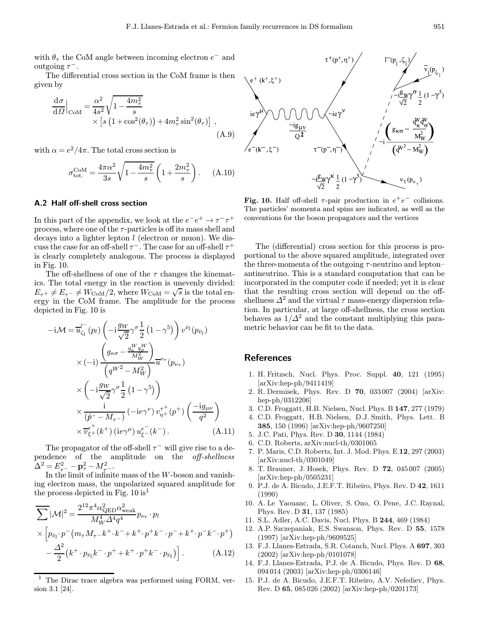with  $\theta_{\tau}$  the CoM angle between incoming electron  $e^{-}$  and outgoing  $\tau^-$ .

The differential cross section in the CoM frame is then given by

$$
\frac{d\sigma}{d\Omega}\Big|_{\text{CoM}} = \frac{\alpha^2}{4s^2} \sqrt{1 - \frac{4m_\tau^2}{s}} \times \left[s\left(1 + \cos^2(\theta_\tau)\right) + 4m_\tau^2 \sin^2(\theta_\tau)\right] ,\tag{A.9}
$$

with  $\alpha = e^2/4\pi$ . The total cross section is

$$
\sigma_{\text{tot.}}^{\text{CoM}} = \frac{4\pi\alpha^2}{3s} \sqrt{1 - \frac{4m_\tau^2}{s}} \left( 1 + \frac{2m_\tau^2}{s} \right). \tag{A.10}
$$

#### A.2 Half off-shell cross section

In this part of the appendix, we look at the  $e^-e^+ \to \tau^- \tau^+$ process, where one of the  $\tau$ -particles is off its mass shell and decays into a lighter lepton  $l$  (electron or muon). We discuss the case for an off-shell  $\tau^-$ . The case for an off-shell  $\tau^+$ is clearly completely analogous. The process is displayed in Fig. 10.

The off-shellness of one of the  $\tau$  changes the kinematics. The total energy in the reaction is unevenly divided:  $E_{\tau^+} \neq E_{\tau^-} \neq W_{\text{CoM}}/2$ , where  $W_{\text{CoM}} = \sqrt{s}$  is the total energy in the CoM frame. The amplitude for the process depicted in Fig. 10 is

$$
-i\mathcal{M} = \overline{u}_{\zeta_l}^{l^-}(p_l) \left( -i\frac{g_W}{\sqrt{2}} \gamma^\sigma \frac{1}{2} (1 - \gamma^5) \right) v^{\bar{\nu}_l}(p_{\bar{\nu}_l})
$$
  

$$
\times (-i) \frac{\left( g_{\kappa\sigma} - \frac{q_\kappa^W q_W^W}{M_W^2} \right)}{\left( q^{W^2} - M_W^2 \right)} \overline{u}^{\nu_\tau}(p_{\nu_\tau})
$$
  

$$
\times \left( -i\frac{g_W}{\sqrt{2}} \gamma^\sigma \frac{1}{2} (1 - \gamma^5) \right)
$$
  

$$
\times \frac{i}{(\phi^- - M_{\tau^-})} (-ie\gamma^\nu) v_{\eta^+}^{\tau^+}(p^+) \left( \frac{-ig_{\mu\nu}}{q^2} \right)
$$
  

$$
\times \overline{v}_{\xi^+}^{\epsilon^+}(k^+) (ie\gamma^\mu) u_{\xi^-}^{\epsilon^-}(k^-).
$$
 (A.11)

The propagator of the off-shell  $\tau^-$  will give rise to a dependence of the amplitude on the *off-shellness*  $\Delta^2 = E_{\tau^-}^2 - \mathbf{p}_{\tau}^2 - M_{\tau^-}^2.$ 

In the limit of infinite mass of the W-boson and vanishing electron mass, the unpolarized squared amplitude for the process depicted in Fig.  $10 \text{ is}^1$ 

$$
\overline{\sum} |\mathcal{M}|^2 = \frac{2^{12} \pi^4 \alpha_{\text{QED}}^2 \alpha_{\text{weak}}^2}{M_W^4 \Delta^4 q^4} p_{\nu_\tau} \cdot p_l
$$
\n
$$
\times \left[ p_{\bar{\nu}_l} \cdot p^-(m_\tau M_{\tau^-} k^+ \cdot k^- + k^+ \cdot p^+ k^- \cdot p^- + k^+ \cdot p^- k^- \cdot p^+) \right]
$$
\n
$$
-\frac{\Delta^2}{2} (k^+ \cdot p_{\bar{\nu}_l} k^- \cdot p^+ + k^+ \cdot p^+ k^- \cdot p_{\bar{\nu}_l}) \Big].
$$
\n(A.12)



Fig. 10. Half off-shell  $\tau$ -pair production in  $e^+e^-$  collisions. The particles' momenta and spins are indicated, as well as the conventions for the boson propagators and the vertices

The (differential) cross section for this process is proportional to the above squared amplitude, integrated over the three-momenta of the outgoing  $\tau$ -neutrino and lepton– antineutrino. This is a standard computation that can be incorporated in the computer code if needed; yet it is clear that the resulting cross section will depend on the offshellness  $\Delta^2$  and the virtual  $\tau$  mass-energy dispersion relation. In particular, at large off-shellness, the cross section behaves as  $1/\Delta^2$  and the constant multiplying this parametric behavior can be fit to the data.

#### References

- 1. H. Fritzsch, Nucl. Phys. Proc. Suppl. 40, 121 (1995) [arXiv:hep-ph/9411419]
- 2. R. Dermisek, Phys. Rev. D 70, 033 007 (2004) [arXiv: hep-ph/0312206]
- 3. C.D. Froggatt, H.B. Nielsen, Nucl. Phys. B 147, 277 (1979)
- 4. C.D. Froggatt, H.B. Nielsen, D.J. Smith, Phys. Lett. B 385, 150 (1996) [arXiv:hep-ph/9607250]
- 5. J.C. Pati, Phys. Rev. D 30, 1144 (1984)
- 6. C.D. Roberts, arXiv:nucl-th/0301065
- 7. P. Maris, C.D. Roberts, Int. J. Mod. Phys. E 12, 297 (2003) [arXiv:nucl-th/0301049]
- 8. T. Brauner, J. Hosek, Phys. Rev. D 72, 045 007 (2005) [arXiv:hep-ph/0505231]
- 9. P.J. de A. Bicudo, J.E.F.T. Ribeiro, Phys. Rev. D 42, 1611 (1990)
- 10. A. Le Yaouanc, L. Oliver, S. Ono, O. Pene, J.C. Raynal, Phys. Rev. D 31, 137 (1985)
- 11. S.L. Adler, A.C. Davis, Nucl. Phys. B 244, 469 (1984)
- 12. A.P. Szczepaniak, E.S. Swanson, Phys. Rev. D 55, 1578 (1997) [arXiv:hep-ph/9609525]
- 13. F.J. Llanes-Estrada, S.R. Cotanch, Nucl. Phys. A 697, 303 (2002) [arXiv:hep-ph/0101078]
- 14. F.J. Llanes-Estrada, P.J. de A. Bicudo, Phys. Rev. D 68, 094 014 (2003) [arXiv:hep-ph/0306146]
- 15. P.J. de A. Bicudo, J.E.F.T. Ribeiro, A.V. Nefediev, Phys. Rev. D 65, 085 026 (2002) [arXiv:hep-ph/0201173]

The Dirac trace algebra was performed using FORM, version 3.1 [24].